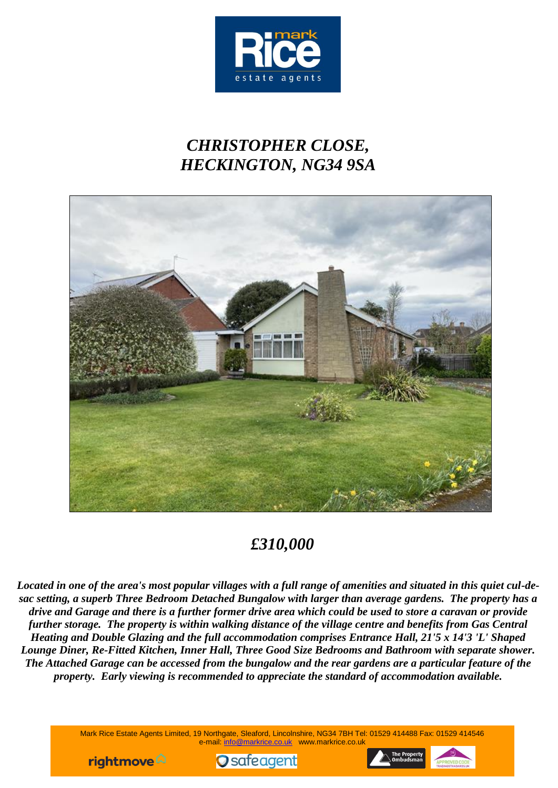

# *CHRISTOPHER CLOSE, HECKINGTON, NG34 9SA*



## *£310,000*

*Located in one of the area's most popular villages with a full range of amenities and situated in this quiet cul-desac setting, a superb Three Bedroom Detached Bungalow with larger than average gardens. The property has a drive and Garage and there is a further former drive area which could be used to store a caravan or provide further storage. The property is within walking distance of the village centre and benefits from Gas Central Heating and Double Glazing and the full accommodation comprises Entrance Hall, 21'5 x 14'3 'L' Shaped Lounge Diner, Re-Fitted Kitchen, Inner Hall, Three Good Size Bedrooms and Bathroom with separate shower. The Attached Garage can be accessed from the bungalow and the rear gardens are a particular feature of the property. Early viewing is recommended to appreciate the standard of accommodation available.*

> Mark Rice Estate Agents Limited, 19 Northgate, Sleaford, Lincolnshire, NG34 7BH Tel: 01529 414488 Fax: 01529 414546 e-mail: info@markrice.co.uk www.markrice.co.uk





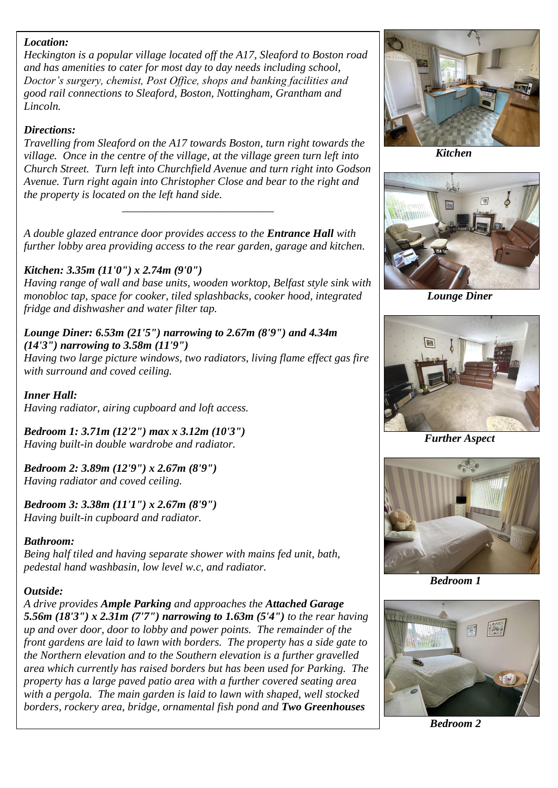#### *Location:*

*Heckington is a popular village located off the A17, Sleaford to Boston road and has amenities to cater for most day to day needs including school, Doctor's surgery, chemist, Post Office, shops and banking facilities and good rail connections to Sleaford, Boston, Nottingham, Grantham and Lincoln.*

#### *Directions:*

*Travelling from Sleaford on the A17 towards Boston, turn right towards the village. Once in the centre of the village, at the village green turn left into Church Street. Turn left into Churchfield Avenue and turn right into Godson Avenue. Turn right again into Christopher Close and bear to the right and the property is located on the left hand side.*

*\_\_\_\_\_\_\_\_\_\_\_\_\_\_\_\_\_\_\_\_\_\_\_\_\_\_\_*

*A double glazed entrance door provides access to the Entrance Hall with further lobby area providing access to the rear garden, garage and kitchen.*

#### *Kitchen: 3.35m (11'0") x 2.74m (9'0")*

*Having range of wall and base units, wooden worktop, Belfast style sink with monobloc tap, space for cooker, tiled splashbacks, cooker hood, integrated fridge and dishwasher and water filter tap.*

#### *Lounge Diner: 6.53m (21'5") narrowing to 2.67m (8'9") and 4.34m (14'3") narrowing to 3.58m (11'9")*

*Having two large picture windows, two radiators, living flame effect gas fire with surround and coved ceiling.*

*Inner Hall: Having radiator, airing cupboard and loft access.*

*Bedroom 1: 3.71m (12'2") max x 3.12m (10'3") Having built-in double wardrobe and radiator.*

*Bedroom 2: 3.89m (12'9") x 2.67m (8'9") Having radiator and coved ceiling.*

*Bedroom 3: 3.38m (11'1") x 2.67m (8'9") Having built-in cupboard and radiator.*

#### *Bathroom:*

*Being half tiled and having separate shower with mains fed unit, bath, pedestal hand washbasin, low level w.c, and radiator.*

#### *Outside:*

*A drive provides Ample Parking and approaches the Attached Garage 5.56m (18'3") x 2.31m (7'7") narrowing to 1.63m (5'4") to the rear having up and over door, door to lobby and power points. The remainder of the front gardens are laid to lawn with borders. The property has a side gate to the Northern elevation and to the Southern elevation is a further gravelled area which currently has raised borders but has been used for Parking. The property has a large paved patio area with a further covered seating area with a pergola. The main garden is laid to lawn with shaped, well stocked borders, rockery area, bridge, ornamental fish pond and Two Greenhouses*



 *Kitchen*



 *Lounge Diner*



*Further Aspect*



 *Bedroom 1*



 *Bedroom 2*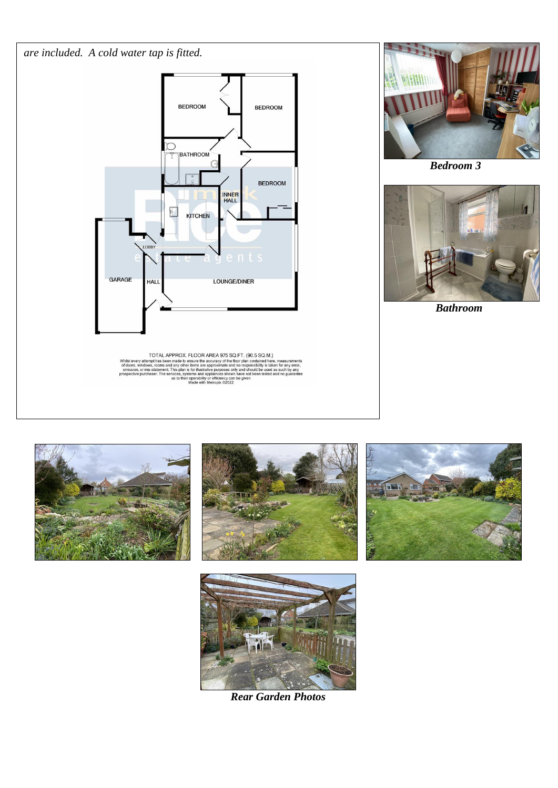



TOTAL APPROX. FLOOR AREA 975 SQ.FT. (90.5 SQ.M.)<br>Whilst every attempt has been made to ensure the accuracy of the floor plan contained here, measurements<br>of doors, windows, rooms and any other literas are approximate and n



 *Bedroom 3*



 *Bathroom*









*Rear Garden Photos*